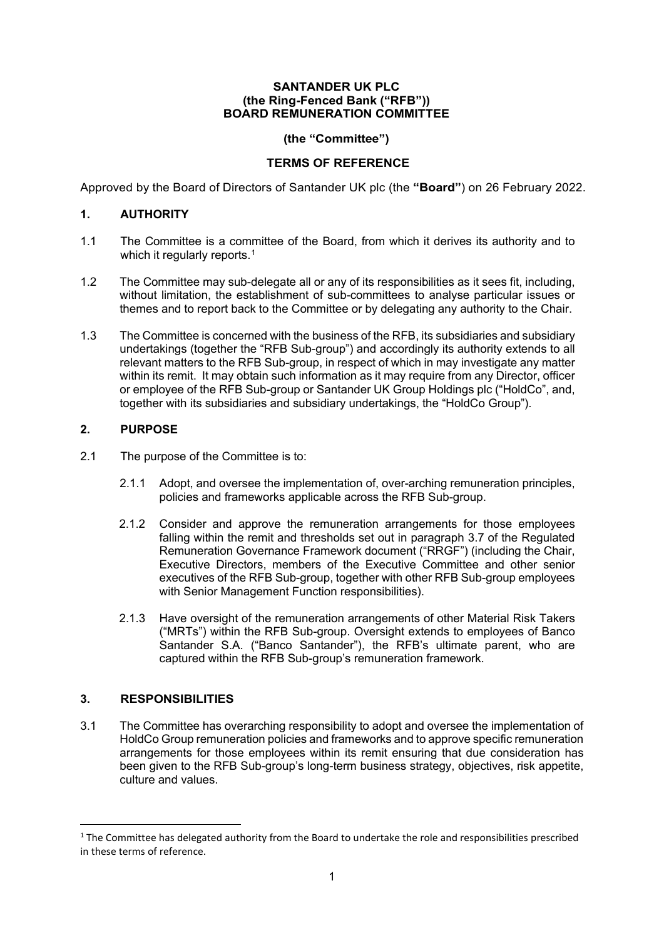#### **SANTANDER UK PLC (the Ring-Fenced Bank ("RFB")) BOARD REMUNERATION COMMITTEE**

### **(the "Committee")**

## **TERMS OF REFERENCE**

Approved by the Board of Directors of Santander UK plc (the **"Board"**) on 26 February 2022.

### **1. AUTHORITY**

- 1.1 The Committee is a committee of the Board, from which it derives its authority and to which it regularly reports.<sup>[1](#page-0-0)</sup>
- 1.2 The Committee may sub-delegate all or any of its responsibilities as it sees fit, including, without limitation, the establishment of sub-committees to analyse particular issues or themes and to report back to the Committee or by delegating any authority to the Chair.
- 1.3 The Committee is concerned with the business of the RFB, its subsidiaries and subsidiary undertakings (together the "RFB Sub-group") and accordingly its authority extends to all relevant matters to the RFB Sub-group, in respect of which in may investigate any matter within its remit. It may obtain such information as it may require from any Director, officer or employee of the RFB Sub-group or Santander UK Group Holdings plc ("HoldCo", and, together with its subsidiaries and subsidiary undertakings, the "HoldCo Group").

### **2. PURPOSE**

- 2.1 The purpose of the Committee is to:
	- 2.1.1 Adopt, and oversee the implementation of, over-arching remuneration principles, policies and frameworks applicable across the RFB Sub-group.
	- 2.1.2 Consider and approve the remuneration arrangements for those employees falling within the remit and thresholds set out in paragraph 3.7 of the Regulated Remuneration Governance Framework document ("RRGF") (including the Chair, Executive Directors, members of the Executive Committee and other senior executives of the RFB Sub-group, together with other RFB Sub-group employees with Senior Management Function responsibilities).
	- 2.1.3 Have oversight of the remuneration arrangements of other Material Risk Takers ("MRTs") within the RFB Sub-group. Oversight extends to employees of Banco Santander S.A. ("Banco Santander"), the RFB's ultimate parent, who are captured within the RFB Sub-group's remuneration framework.

## **3. RESPONSIBILITIES**

3.1 The Committee has overarching responsibility to adopt and oversee the implementation of HoldCo Group remuneration policies and frameworks and to approve specific remuneration arrangements for those employees within its remit ensuring that due consideration has been given to the RFB Sub-group's long-term business strategy, objectives, risk appetite, culture and values.

<span id="page-0-0"></span><sup>&</sup>lt;sup>1</sup> The Committee has delegated authority from the Board to undertake the role and responsibilities prescribed in these terms of reference.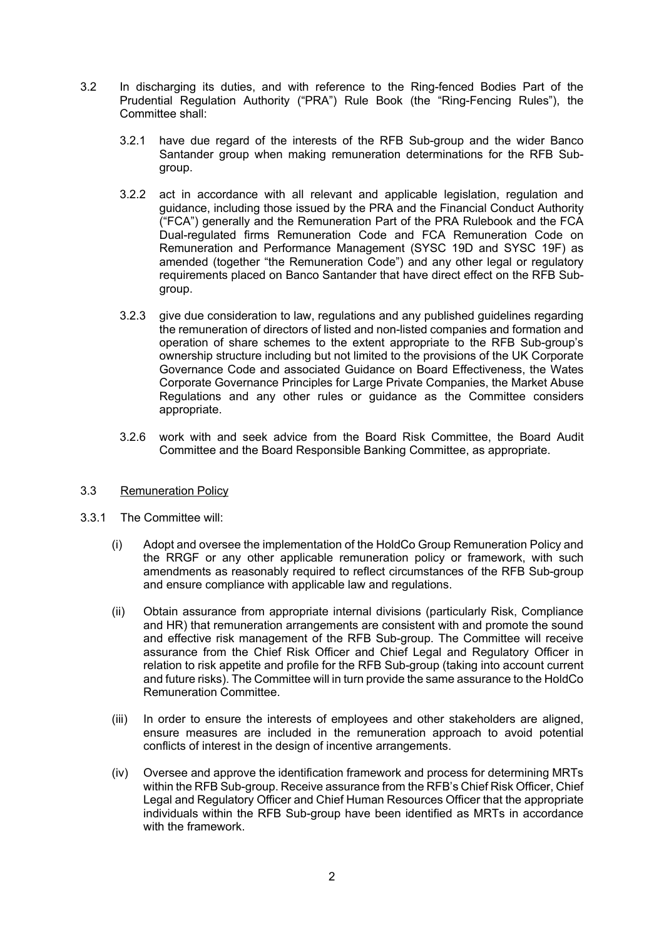- 3.2 In discharging its duties, and with reference to the Ring-fenced Bodies Part of the Prudential Regulation Authority ("PRA") Rule Book (the "Ring-Fencing Rules"), the Committee shall:
	- 3.2.1 have due regard of the interests of the RFB Sub-group and the wider Banco Santander group when making remuneration determinations for the RFB Subgroup.
	- 3.2.2 act in accordance with all relevant and applicable legislation, regulation and guidance, including those issued by the PRA and the Financial Conduct Authority ("FCA") generally and the Remuneration Part of the PRA Rulebook and the FCA Dual-regulated firms Remuneration Code and FCA Remuneration Code on Remuneration and Performance Management (SYSC 19D and SYSC 19F) as amended (together "the Remuneration Code") and any other legal or regulatory requirements placed on Banco Santander that have direct effect on the RFB Subgroup.
	- 3.2.3 give due consideration to law, regulations and any published guidelines regarding the remuneration of directors of listed and non-listed companies and formation and operation of share schemes to the extent appropriate to the RFB Sub-group's ownership structure including but not limited to the provisions of the UK Corporate Governance Code and associated Guidance on Board Effectiveness, the Wates Corporate Governance Principles for Large Private Companies, the Market Abuse Regulations and any other rules or guidance as the Committee considers appropriate.
	- 3.2.6 work with and seek advice from the Board Risk Committee, the Board Audit Committee and the Board Responsible Banking Committee, as appropriate.

### 3.3 Remuneration Policy

- 3.3.1 The Committee will:
	- (i) Adopt and oversee the implementation of the HoldCo Group Remuneration Policy and the RRGF or any other applicable remuneration policy or framework, with such amendments as reasonably required to reflect circumstances of the RFB Sub-group and ensure compliance with applicable law and regulations.
	- (ii) Obtain assurance from appropriate internal divisions (particularly Risk, Compliance and HR) that remuneration arrangements are consistent with and promote the sound and effective risk management of the RFB Sub-group. The Committee will receive assurance from the Chief Risk Officer and Chief Legal and Regulatory Officer in relation to risk appetite and profile for the RFB Sub-group (taking into account current and future risks). The Committee will in turn provide the same assurance to the HoldCo Remuneration Committee.
	- (iii) In order to ensure the interests of employees and other stakeholders are aligned, ensure measures are included in the remuneration approach to avoid potential conflicts of interest in the design of incentive arrangements.
	- (iv) Oversee and approve the identification framework and process for determining MRTs within the RFB Sub-group. Receive assurance from the RFB's Chief Risk Officer, Chief Legal and Regulatory Officer and Chief Human Resources Officer that the appropriate individuals within the RFB Sub-group have been identified as MRTs in accordance with the framework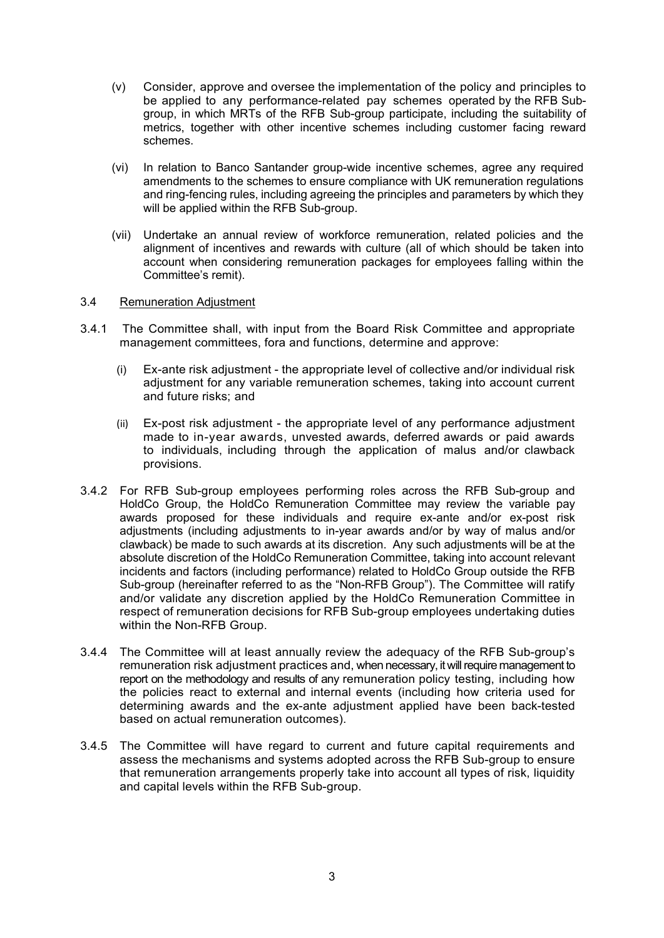- (v) Consider, approve and oversee the implementation of the policy and principles to be applied to any performance-related pay schemes operated by the RFB Subgroup, in which MRTs of the RFB Sub-group participate, including the suitability of metrics, together with other incentive schemes including customer facing reward schemes.
- (vi) In relation to Banco Santander group-wide incentive schemes, agree any required amendments to the schemes to ensure compliance with UK remuneration regulations and ring-fencing rules, including agreeing the principles and parameters by which they will be applied within the RFB Sub-group.
- (vii) Undertake an annual review of workforce remuneration, related policies and the alignment of incentives and rewards with culture (all of which should be taken into account when considering remuneration packages for employees falling within the Committee's remit).

### 3.4 Remuneration Adjustment

- 3.4.1 The Committee shall, with input from the Board Risk Committee and appropriate management committees, fora and functions, determine and approve:
	- (i) Ex-ante risk adjustment the appropriate level of collective and/or individual risk adjustment for any variable remuneration schemes, taking into account current and future risks; and
	- (ii) Ex-post risk adjustment the appropriate level of any performance adjustment made to in-year awards, unvested awards, deferred awards or paid awards to individuals, including through the application of malus and/or clawback provisions.
- 3.4.2 For RFB Sub-group employees performing roles across the RFB Sub-group and HoldCo Group, the HoldCo Remuneration Committee may review the variable pay awards proposed for these individuals and require ex-ante and/or ex-post risk adjustments (including adjustments to in-year awards and/or by way of malus and/or clawback) be made to such awards at its discretion. Any such adjustments will be at the absolute discretion of the HoldCo Remuneration Committee, taking into account relevant incidents and factors (including performance) related to HoldCo Group outside the RFB Sub-group (hereinafter referred to as the "Non-RFB Group"). The Committee will ratify and/or validate any discretion applied by the HoldCo Remuneration Committee in respect of remuneration decisions for RFB Sub-group employees undertaking duties within the Non-RFB Group.
- 3.4.4 The Committee will at least annually review the adequacy of the RFB Sub-group's remuneration risk adjustment practices and, when necessary, it will require management to report on the methodology and results of any remuneration policy testing, including how the policies react to external and internal events (including how criteria used for determining awards and the ex-ante adjustment applied have been back-tested based on actual remuneration outcomes).
- 3.4.5 The Committee will have regard to current and future capital requirements and assess the mechanisms and systems adopted across the RFB Sub-group to ensure that remuneration arrangements properly take into account all types of risk, liquidity and capital levels within the RFB Sub-group.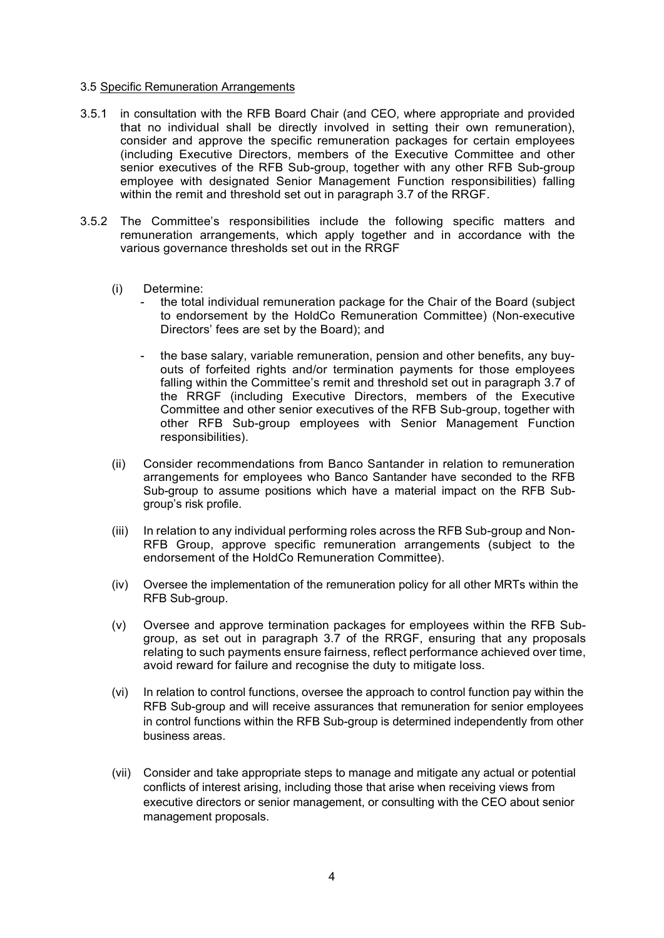#### 3.5 Specific Remuneration Arrangements

- 3.5.1 in consultation with the RFB Board Chair (and CEO, where appropriate and provided that no individual shall be directly involved in setting their own remuneration), consider and approve the specific remuneration packages for certain employees (including Executive Directors, members of the Executive Committee and other senior executives of the RFB Sub-group, together with any other RFB Sub-group employee with designated Senior Management Function responsibilities) falling within the remit and threshold set out in paragraph 3.7 of the RRGF.
- 3.5.2 The Committee's responsibilities include the following specific matters and remuneration arrangements, which apply together and in accordance with the various governance thresholds set out in the RRGF
	- (i) Determine:
		- the total individual remuneration package for the Chair of the Board (subject to endorsement by the HoldCo Remuneration Committee) (Non-executive Directors' fees are set by the Board); and
		- the base salary, variable remuneration, pension and other benefits, any buyouts of forfeited rights and/or termination payments for those employees falling within the Committee's remit and threshold set out in paragraph 3.7 of the RRGF (including Executive Directors, members of the Executive Committee and other senior executives of the RFB Sub-group, together with other RFB Sub-group employees with Senior Management Function responsibilities).
	- (ii) Consider recommendations from Banco Santander in relation to remuneration arrangements for employees who Banco Santander have seconded to the RFB Sub-group to assume positions which have a material impact on the RFB Subgroup's risk profile.
	- (iii) In relation to any individual performing roles across the RFB Sub-group and Non-RFB Group, approve specific remuneration arrangements (subject to the endorsement of the HoldCo Remuneration Committee).
	- (iv) Oversee the implementation of the remuneration policy for all other MRTs within the RFB Sub-group.
	- (v) Oversee and approve termination packages for employees within the RFB Subgroup, as set out in paragraph 3.7 of the RRGF, ensuring that any proposals relating to such payments ensure fairness, reflect performance achieved over time, avoid reward for failure and recognise the duty to mitigate loss.
	- (vi) In relation to control functions, oversee the approach to control function pay within the RFB Sub-group and will receive assurances that remuneration for senior employees in control functions within the RFB Sub-group is determined independently from other business areas.
	- (vii) Consider and take appropriate steps to manage and mitigate any actual or potential conflicts of interest arising, including those that arise when receiving views from executive directors or senior management, or consulting with the CEO about senior management proposals.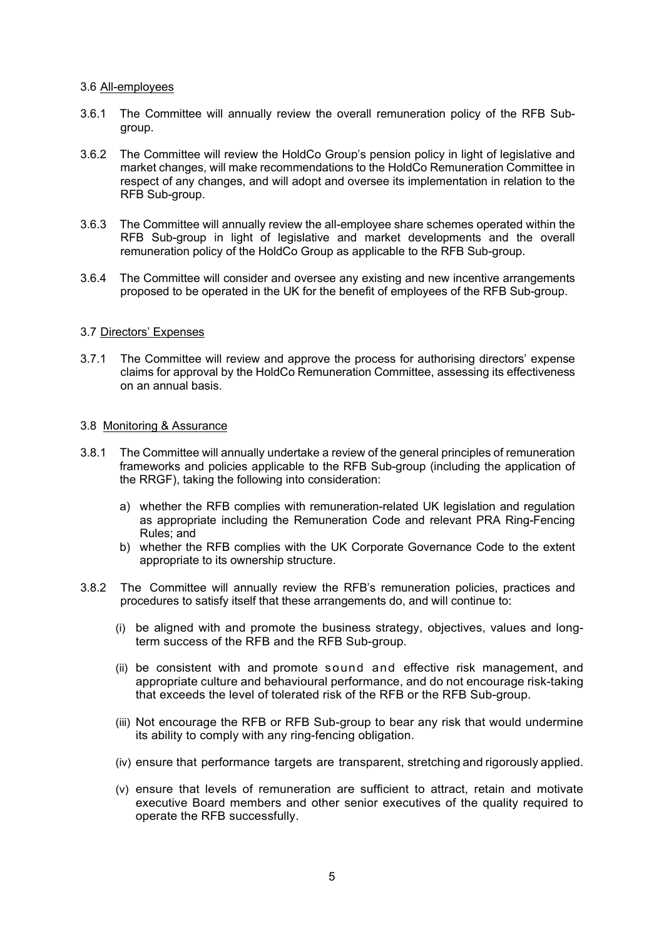#### 3.6 All-employees

- 3.6.1 The Committee will annually review the overall remuneration policy of the RFB Subgroup.
- 3.6.2 The Committee will review the HoldCo Group's pension policy in light of legislative and market changes, will make recommendations to the HoldCo Remuneration Committee in respect of any changes, and will adopt and oversee its implementation in relation to the RFB Sub-group.
- 3.6.3 The Committee will annually review the all-employee share schemes operated within the RFB Sub-group in light of legislative and market developments and the overall remuneration policy of the HoldCo Group as applicable to the RFB Sub-group.
- 3.6.4 The Committee will consider and oversee any existing and new incentive arrangements proposed to be operated in the UK for the benefit of employees of the RFB Sub-group.

#### 3.7 Directors' Expenses

3.7.1 The Committee will review and approve the process for authorising directors' expense claims for approval by the HoldCo Remuneration Committee, assessing its effectiveness on an annual basis.

#### 3.8 Monitoring & Assurance

- 3.8.1 The Committee will annually undertake a review of the general principles of remuneration frameworks and policies applicable to the RFB Sub-group (including the application of the RRGF), taking the following into consideration:
	- a) whether the RFB complies with remuneration-related UK legislation and regulation as appropriate including the Remuneration Code and relevant PRA Ring-Fencing Rules; and
	- b) whether the RFB complies with the UK Corporate Governance Code to the extent appropriate to its ownership structure.
- 3.8.2 The Committee will annually review the RFB's remuneration policies, practices and procedures to satisfy itself that these arrangements do, and will continue to:
	- (i) be aligned with and promote the business strategy, objectives, values and longterm success of the RFB and the RFB Sub-group.
	- (ii) be consistent with and promote sound and effective risk management, and appropriate culture and behavioural performance, and do not encourage risk-taking that exceeds the level of tolerated risk of the RFB or the RFB Sub-group.
	- (iii) Not encourage the RFB or RFB Sub-group to bear any risk that would undermine its ability to comply with any ring-fencing obligation.
	- (iv) ensure that performance targets are transparent, stretching and rigorously applied.
	- (v) ensure that levels of remuneration are sufficient to attract, retain and motivate executive Board members and other senior executives of the quality required to operate the RFB successfully.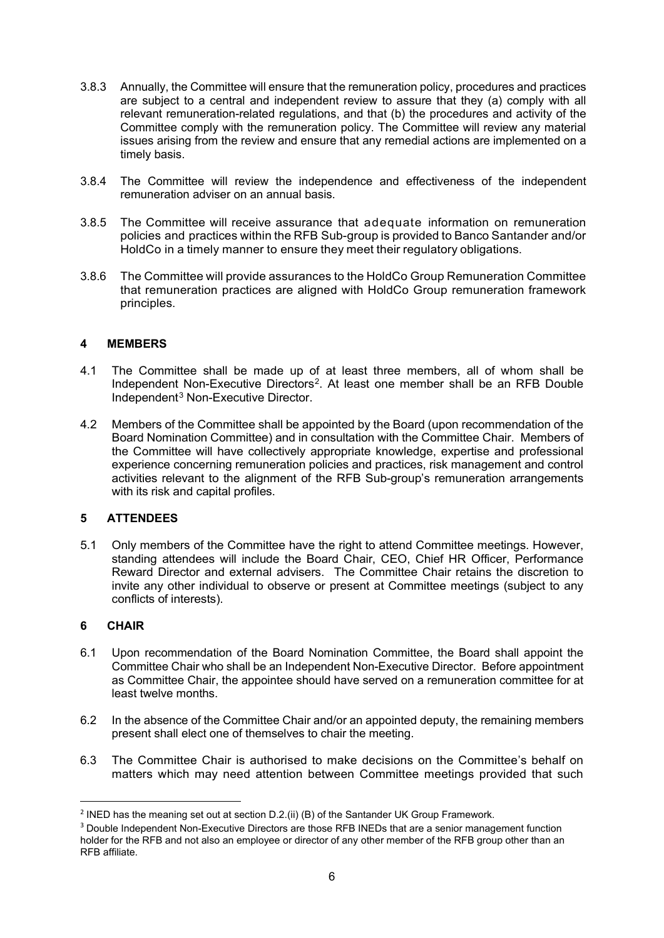- 3.8.3 Annually, the Committee will ensure that the remuneration policy, procedures and practices are subject to a central and independent review to assure that they (a) comply with all relevant remuneration-related regulations, and that (b) the procedures and activity of the Committee comply with the remuneration policy. The Committee will review any material issues arising from the review and ensure that any remedial actions are implemented on a timely basis.
- 3.8.4 The Committee will review the independence and effectiveness of the independent remuneration adviser on an annual basis.
- 3.8.5 The Committee will receive assurance that adequate information on remuneration policies and practices within the RFB Sub-group is provided to Banco Santander and/or HoldCo in a timely manner to ensure they meet their regulatory obligations.
- 3.8.6 The Committee will provide assurances to the HoldCo Group Remuneration Committee that remuneration practices are aligned with HoldCo Group remuneration framework principles.

### **4 MEMBERS**

- 4.1 The Committee shall be made up of at least three members, all of whom shall be Independent Non-Executive Directors<sup>[2](#page-5-0)</sup>. At least one member shall be an RFB Double Independent[3](#page-5-1) Non-Executive Director.
- 4.2 Members of the Committee shall be appointed by the Board (upon recommendation of the Board Nomination Committee) and in consultation with the Committee Chair. Members of the Committee will have collectively appropriate knowledge, expertise and professional experience concerning remuneration policies and practices, risk management and control activities relevant to the alignment of the RFB Sub-group's remuneration arrangements with its risk and capital profiles.

## **5 ATTENDEES**

5.1 Only members of the Committee have the right to attend Committee meetings. However, standing attendees will include the Board Chair, CEO, Chief HR Officer, Performance Reward Director and external advisers. The Committee Chair retains the discretion to invite any other individual to observe or present at Committee meetings (subject to any conflicts of interests).

### **6 CHAIR**

- 6.1 Upon recommendation of the Board Nomination Committee, the Board shall appoint the Committee Chair who shall be an Independent Non-Executive Director. Before appointment as Committee Chair, the appointee should have served on a remuneration committee for at least twelve months.
- 6.2 In the absence of the Committee Chair and/or an appointed deputy, the remaining members present shall elect one of themselves to chair the meeting.
- 6.3 The Committee Chair is authorised to make decisions on the Committee's behalf on matters which may need attention between Committee meetings provided that such

<span id="page-5-0"></span><sup>&</sup>lt;sup>2</sup> INED has the meaning set out at section D.2.(ii) (B) of the Santander UK Group Framework.

<span id="page-5-1"></span><sup>&</sup>lt;sup>3</sup> Double Independent Non-Executive Directors are those RFB INEDs that are a senior management function holder for the RFB and not also an employee or director of any other member of the RFB group other than an RFB affiliate.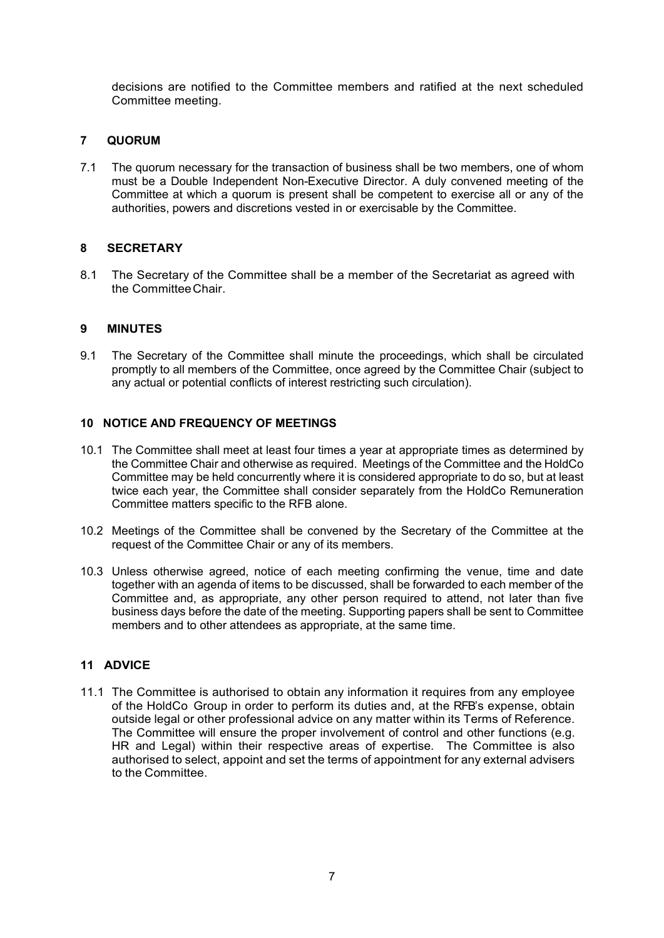decisions are notified to the Committee members and ratified at the next scheduled Committee meeting.

# **7 QUORUM**

7.1 The quorum necessary for the transaction of business shall be two members, one of whom must be a Double Independent Non-Executive Director. A duly convened meeting of the Committee at which a quorum is present shall be competent to exercise all or any of the authorities, powers and discretions vested in or exercisable by the Committee.

# **8 SECRETARY**

8.1 The Secretary of the Committee shall be a member of the Secretariat as agreed with the CommitteeChair.

# **9 MINUTES**

9.1 The Secretary of the Committee shall minute the proceedings, which shall be circulated promptly to all members of the Committee, once agreed by the Committee Chair (subject to any actual or potential conflicts of interest restricting such circulation).

## **10 NOTICE AND FREQUENCY OF MEETINGS**

- 10.1 The Committee shall meet at least four times a year at appropriate times as determined by the Committee Chair and otherwise as required. Meetings of the Committee and the HoldCo Committee may be held concurrently where it is considered appropriate to do so, but at least twice each year, the Committee shall consider separately from the HoldCo Remuneration Committee matters specific to the RFB alone.
- 10.2 Meetings of the Committee shall be convened by the Secretary of the Committee at the request of the Committee Chair or any of its members.
- 10.3 Unless otherwise agreed, notice of each meeting confirming the venue, time and date together with an agenda of items to be discussed, shall be forwarded to each member of the Committee and, as appropriate, any other person required to attend, not later than five business days before the date of the meeting. Supporting papers shall be sent to Committee members and to other attendees as appropriate, at the same time.

# **11 ADVICE**

11.1 The Committee is authorised to obtain any information it requires from any employee of the HoldCo Group in order to perform its duties and, at the RFB's expense, obtain outside legal or other professional advice on any matter within its Terms of Reference. The Committee will ensure the proper involvement of control and other functions (e.g. HR and Legal) within their respective areas of expertise. The Committee is also authorised to select, appoint and set the terms of appointment for any external advisers to the Committee.